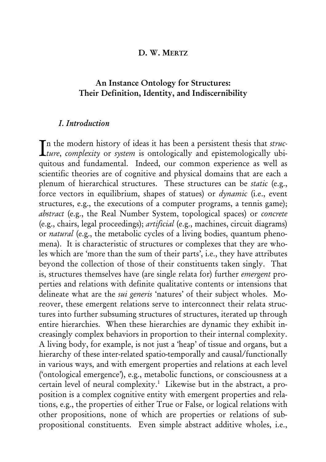## D. W. MERTZ

# An Instance Ontology for Structures: Their Definition, Identity, and Indiscernibility

## I. Introduction

n the modern history of ideas it has been a persistent thesis that struc- $\prod$ n the modern history of ideas it has been a persistent thesis that struc-<br>  $\prod_{t}$  complexity or system is ontologically and epistemologically ubiquitous and fundamental. Indeed, our common experience as well as scientific theories are of cognitive and physical domains that are each a plenum of hierarchical structures. These structures can be static (e.g., force vectors in equilibrium, shapes of statues) or dynamic (i.e., event structures, e.g., the executions of a computer programs, a tennis game); abstract (e.g., the Real Number System, topological spaces) or concrete (e.g., chairs, legal proceedings); artificial (e.g., machines, circuit diagrams) or natural (e.g., the metabolic cycles of a living bodies, quantum phenomena). It is characteristic of structures or complexes that they are wholes which are 'more than the sum of their parts', i.e., they have attributes beyond the collection of those of their constituents taken singly. That is, structures themselves have (are single relata for) further emergent properties and relations with definite qualitative contents or intensions that delineate what are the sui generis 'natures' of their subject wholes. Moreover, these emergent relations serve to interconnect their relata structures into further subsuming structures of structures, iterated up through entire hierarchies. When these hierarchies are dynamic they exhibit increasingly complex behaviors in proportion to their internal complexity. A living body, for example, is not just a 'heap' of tissue and organs, but a hierarchy of these inter-related spatio-temporally and causal/functionally in various ways, and with emergent properties and relations at each level ('ontological emergence'), e.g., metabolic functions, or consciousness at a certain level of neural complexity. $^1$  Likewise but in the abstract, a proposition is a complex cognitive entity with emergent properties and relations, e.g., the properties of either True or False, or logical relations with other propositions, none of which are properties or relations of subpropositional constituents. Even simple abstract additive wholes, i.e.,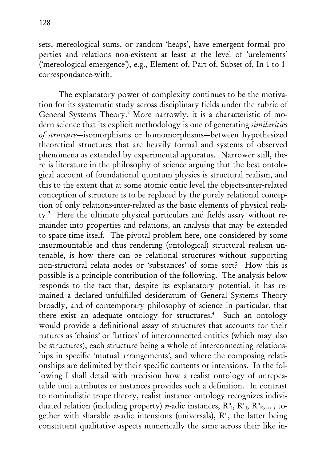sets, mereological sums, or random 'heaps', have emergent formal properties and relations non-existent at least at the level of 'urelements' ('mereological emergence'), e.g., Element-of, Part-of, Subset-of, In-1-to-1 correspondance-with.

The explanatory power of complexity continues to be the motivation for its systematic study across disciplinary fields under the rubric of General Systems Theory.<sup>2</sup> More narrowly, it is a characteristic of modern science that its explicit methodology is one of generating *similarities* of structure—isomorphisms or homomorphisms—between hypothesized theoretical structures that are heavily formal and systems of observed phenomena as extended by experimental apparatus. Narrower still, there is literature in the philosophy of science arguing that the best ontological account of foundational quantum physics is structural realism, and this to the extent that at some atomic ontic level the objects-inter-related conception of structure is to be replaced by the purely relational conception of only relations-inter-related as the basic elements of physical reality.3 Here the ultimate physical particulars and fields assay without remainder into properties and relations, an analysis that may be extended to space-time itself. The pivotal problem here, one considered by some insurmountable and thus rendering (ontological) structural realism untenable, is how there can be relational structures without supporting non-structural relata nodes or 'substances' of some sort? How this is possible is a principle contribution of the following. The analysis below responds to the fact that, despite its explanatory potential, it has remained a declared unfulfilled desideratum of General Systems Theory broadly, and of contemporary philosophy of science in particular, that there exist an adequate ontology for structures.<sup>4</sup> Such an ontology would provide a definitional assay of structures that accounts for their natures as 'chains' or 'lattices' of interconnected entities (which may also be structures), each structure being a whole of interconnecting relationships in specific 'mutual arrangements', and where the composing relationships are delimited by their specific contents or intensions. In the following I shall detail with precision how a realist ontology of unrepeatable unit attributes or instances provides such a definition. In contrast to nominalistic trope theory, realist instance ontology recognizes individuated relation (including property) *n*-adic instances,  $R^{n_i}$ ,  $R^{n_j}$ ,  $R^{n_k}$ ,..., together with sharable *n*-adic intensions (universals),  $\mathbb{R}^n$ , the latter being constituent qualitative aspects numerically the same across their like in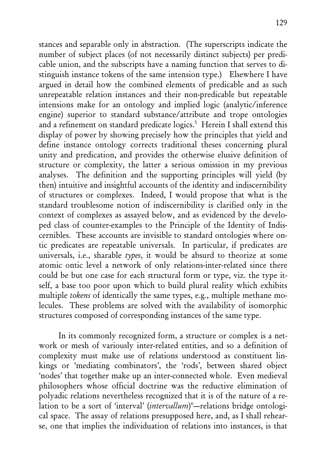stances and separable only in abstraction. (The superscripts indicate the number of subject places (of not necessarily distinct subjects) per predicable union, and the subscripts have a naming function that serves to distinguish instance tokens of the same intension type.) Elsewhere I have argued in detail how the combined elements of predicable and as such unrepeatable relation instances and their non-predicable but repeatable intensions make for an ontology and implied logic (analytic/inference engine) superior to standard substance/attribute and trope ontologies and a refinement on standard predicate  $\rm logics.^5\,$  Herein I shall extend this display of power by showing precisely how the principles that yield and define instance ontology corrects traditional theses concerning plural unity and predication, and provides the otherwise elusive definition of structure or complexity, the latter a serious omission in my previous analyses. The definition and the supporting principles will yield (by then) intuitive and insightful accounts of the identity and indiscernibility of structures or complexes. Indeed, I would propose that what is the standard troublesome notion of indiscernibility is clarified only in the context of complexes as assayed below, and as evidenced by the developed class of counter-examples to the Principle of the Identity of Indiscernibles. These accounts are invisible to standard ontologies where ontic predicates are repeatable universals. In particular, if predicates are universals, i.e., sharable types, it would be absurd to theorize at some atomic ontic level a network of only relations-inter-related since there could be but one case for each structural form or type, viz. the type itself, a base too poor upon which to build plural reality which exhibits multiple tokens of identically the same types, e.g., multiple methane molecules. These problems are solved with the availability of isomorphic structures composed of corresponding instances of the same type.

In its commonly recognized form, a structure or complex is a network or mesh of variously inter-related entities, and so a definition of complexity must make use of relations understood as constituent linkings or 'mediating combinators', the 'rods', between shared object 'nodes' that together make up an inter-connected whole. Even medieval philosophers whose official doctrine was the reductive elimination of polyadic relations nevertheless recognized that it is of the nature of a relation to be a sort of 'interval' (intervallum)<sup>6</sup>—relations bridge ontological space. The assay of relations presupposed here, and, as I shall rehearse, one that implies the individuation of relations into instances, is that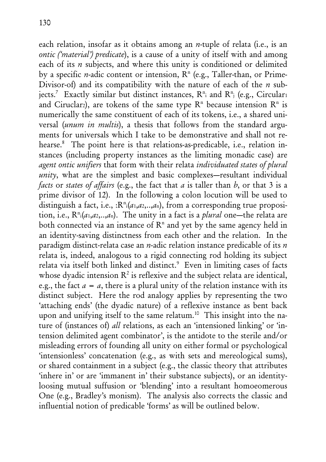each relation, insofar as it obtains among an n-tuple of relata (i.e., is an ontic ('material') predicate), is a cause of a unity of itself with and among each of its  $n$  subjects, and where this unity is conditioned or delimited by a specific *n*-adic content or intension,  $R<sup>n</sup>$  (e.g., Taller-than, or Prime-Divisor-of) and its compatibility with the nature of each of the  $n$  subjects.<sup>7</sup> Exactly similar but distinct instances,  $\mathbb{R}^{\mathbf{n}_{\text{i}}}$  and  $\mathbb{R}^{\mathbf{n}_{\text{j}}}$  (e.g., Circular1 and Ciruclar2), are tokens of the same type  $\mathrm{R}^\mathrm{n}$  because intension  $\mathrm{R}^\mathrm{n}$  is numerically the same constituent of each of its tokens, i.e., a shared universal (unum in multis), a thesis that follows from the standard arguments for universals which I take to be demonstrative and shall not rehearse.8 The point here is that relations-as-predicable, i.e., relation instances (including property instances as the limiting monadic case) are agent ontic unifiers that form with their relata individuated states of plural unity, what are the simplest and basic complexes—resultant individual facts or states of affairs (e.g., the fact that a is taller than b, or that 3 is a prime divisor of 12). In the following a colon locution will be used to distinguish a fact, i.e., : $\mathrm{R}^{\mathrm{n}}$ i(*a*1,*a2*,..,*a*n), from a corresponding true proposition, i.e.,  $\mathrm{R}^{\mathrm{n}}$  (a1,a2,..,an). The unity in a fact is a plural one—the relata are both connected via an instance of  $\mathsf{R}^{\text{n}}$  and yet by the same agency held in an identity-saving distinctness from each other and the relation. In the paradigm distinct-relata case an *n*-adic relation instance predicable of its *n* relata is, indeed, analogous to a rigid connecting rod holding its subject relata via itself both linked and distinct.<sup>9</sup> Even in limiting cases of facts whose dyadic intension  $\mathbb{R}^2$  is reflexive and the subject relata are identical, e.g., the fact  $a = a$ , there is a plural unity of the relation instance with its distinct subject. Here the rod analogy applies by representing the two 'attaching ends' (the dyadic nature) of a reflexive instance as bent back upon and unifying itself to the same relatum.<sup>10</sup> This insight into the nature of (instances of) all relations, as each an 'intensioned linking' or 'intension delimited agent combinator', is the antidote to the sterile and/or misleading errors of founding all unity on either formal or psychological 'intensionless' concatenation (e.g., as with sets and mereological sums), or shared containment in a subject (e.g., the classic theory that attributes 'inhere in' or are 'immanent in' their substance subjects), or an identityloosing mutual suffusion or 'blending' into a resultant homoeomerous One (e.g., Bradley's monism). The analysis also corrects the classic and influential notion of predicable 'forms' as will be outlined below.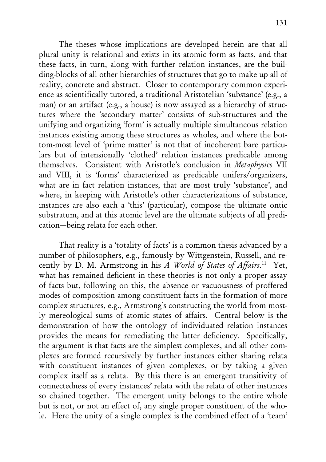The theses whose implications are developed herein are that all plural unity is relational and exists in its atomic form as facts, and that these facts, in turn, along with further relation instances, are the building-blocks of all other hierarchies of structures that go to make up all of reality, concrete and abstract. Closer to contemporary common experience as scientifically tutored, a traditional Aristotelian 'substance' (e.g., a man) or an artifact (e.g., a house) is now assayed as a hierarchy of structures where the 'secondary matter' consists of sub-structures and the unifying and organizing 'form' is actually multiple simultaneous relation instances existing among these structures as wholes, and where the bottom-most level of 'prime matter' is not that of incoherent bare particulars but of intensionally 'clothed' relation instances predicable among themselves. Consistent with Aristotle's conclusion in Metaphysics VII and VIII, it is 'forms' characterized as predicable unifers/organizers, what are in fact relation instances, that are most truly 'substance', and where, in keeping with Aristotle's other characterizations of substance, instances are also each a 'this' (particular), compose the ultimate ontic substratum, and at this atomic level are the ultimate subjects of all predication—being relata for each other.

That reality is a 'totality of facts' is a common thesis advanced by a number of philosophers, e.g., famously by Wittgenstein, Russell, and recently by D. M. Armstrong in his A World of States of Affairs.<sup>11</sup> Yet, what has remained deficient in these theories is not only a proper assay of facts but, following on this, the absence or vacuousness of proffered modes of composition among constituent facts in the formation of more complex structures, e.g., Armstrong's constructing the world from mostly mereological sums of atomic states of affairs. Central below is the demonstration of how the ontology of individuated relation instances provides the means for remediating the latter deficiency. Specifically, the argument is that facts are the simplest complexes, and all other complexes are formed recursively by further instances either sharing relata with constituent instances of given complexes, or by taking a given complex itself as a relata. By this there is an emergent transitivity of connectedness of every instances' relata with the relata of other instances so chained together. The emergent unity belongs to the entire whole but is not, or not an effect of, any single proper constituent of the whole. Here the unity of a single complex is the combined effect of a 'team'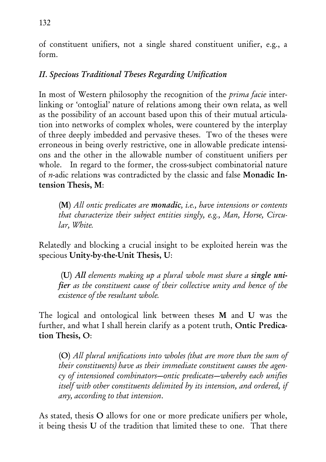of constituent unifiers, not a single shared constituent unifier, e.g., a form.

# II. Specious Traditional Theses Regarding Unification

In most of Western philosophy the recognition of the *prima facie* interlinking or 'ontoglial' nature of relations among their own relata, as well as the possibility of an account based upon this of their mutual articulation into networks of complex wholes, were countered by the interplay of three deeply imbedded and pervasive theses. Two of the theses were erroneous in being overly restrictive, one in allowable predicate intensions and the other in the allowable number of constituent unifiers per whole. In regard to the former, the cross-subject combinatorial nature of n-adic relations was contradicted by the classic and false Monadic Intension Thesis, M:

 $(M)$  All ontic predicates are monadic, i.e., have intensions or contents that characterize their subject entities singly, e.g., Man, Horse, Circular, White.

Relatedly and blocking a crucial insight to be exploited herein was the specious Unity-by-the-Unit Thesis, U:

(U) All elements making up a plural whole must share a single unifier as the constituent cause of their collective unity and hence of the existence of the resultant whole.

The logical and ontological link between theses M and U was the further, and what I shall herein clarify as a potent truth, Ontic Predication Thesis, O:

(O) All plural unifications into wholes (that are more than the sum of their constituents) have as their immediate constituent causes the agency of intensioned combinators—ontic predicates—whereby each unifies itself with other constituents delimited by its intension, and ordered, if any, according to that intension.

As stated, thesis O allows for one or more predicate unifiers per whole, it being thesis U of the tradition that limited these to one. That there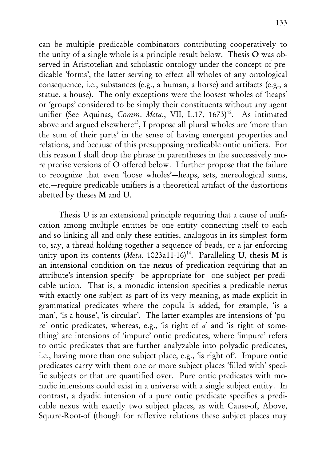can be multiple predicable combinators contributing cooperatively to the unity of a single whole is a principle result below. Thesis O was observed in Aristotelian and scholastic ontology under the concept of predicable 'forms', the latter serving to effect all wholes of any ontological consequence, i.e., substances (e.g., a human, a horse) and artifacts (e.g., a statue, a house). The only exceptions were the loosest wholes of 'heaps' or 'groups' considered to be simply their constituents without any agent unifier (See Aquinas, Comm. Meta., VII, L.17, 1673)<sup>12</sup>. As intimated above and argued elsewhere<sup>13</sup>, I propose all plural wholes are 'more than the sum of their parts' in the sense of having emergent properties and relations, and because of this presupposing predicable ontic unifiers. For this reason I shall drop the phrase in parentheses in the successively more precise versions of O offered below. I further propose that the failure to recognize that even 'loose wholes'—heaps, sets, mereological sums, etc.—require predicable unifiers is a theoretical artifact of the distortions abetted by theses M and U.

Thesis U is an extensional principle requiring that a cause of unification among multiple entities be one entity connecting itself to each and so linking all and only these entities, analogous in its simplest form to, say, a thread holding together a sequence of beads, or a jar enforcing unity upon its contents (Meta. 1023a11-16)<sup>14</sup>. Paralleling U, thesis M is an intensional condition on the nexus of predication requiring that an attribute's intension specify—be appropriate for—one subject per predicable union. That is, a monadic intension specifies a predicable nexus with exactly one subject as part of its very meaning, as made explicit in grammatical predicates where the copula is added, for example, 'is a man', 'is a house', 'is circular'. The latter examples are intensions of 'pure' ontic predicates, whereas, e.g., 'is right of  $a'$  and 'is right of something' are intensions of 'impure' ontic predicates, where 'impure' refers to ontic predicates that are further analyzable into polyadic predicates, i.e., having more than one subject place, e.g., 'is right of'. Impure ontic predicates carry with them one or more subject places 'filled with' specific subjects or that are quantified over. Pure ontic predicates with monadic intensions could exist in a universe with a single subject entity. In contrast, a dyadic intension of a pure ontic predicate specifies a predicable nexus with exactly two subject places, as with Cause-of, Above, Square-Root-of (though for reflexive relations these subject places may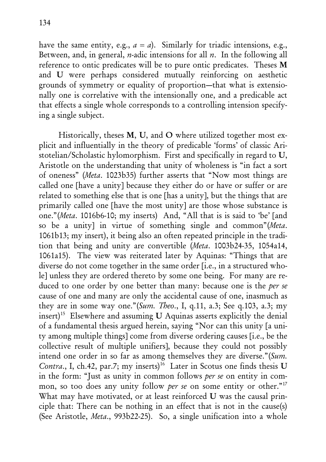have the same entity, e.g.,  $a = a$ ). Similarly for triadic intensions, e.g., Between, and, in general, *n*-adic intensions for all  $n$ . In the following all reference to ontic predicates will be to pure ontic predicates. Theses M and U were perhaps considered mutually reinforcing on aesthetic grounds of symmetry or equality of proportion—that what is extensionally one is correlative with the intensionally one, and a predicable act that effects a single whole corresponds to a controlling intension specifying a single subject.

Historically, theses M, U, and O where utilized together most explicit and influentially in the theory of predicable 'forms' of classic Aristotelian/Scholastic hylomorphism. First and specifically in regard to U, Aristotle on the understanding that unity of wholeness is "in fact a sort of oneness" (Meta. 1023b35) further asserts that "Now most things are called one [have a unity] because they either do or have or suffer or are related to something else that is one [has a unity], but the things that are primarily called one [have the most unity] are those whose substance is one."(Meta. 1016b6-10; my inserts) And, "All that is is said to 'be' [and so be a unityl in virtue of something single and common" (Meta. 1061b13; my insert), it being also an often repeated principle in the tradition that being and unity are convertible (Meta. 1003b24-35, 1054a14, 1061a15). The view was reiterated later by Aquinas: "Things that are diverse do not come together in the same order [i.e., in a structured whole] unless they are ordered thereto by some one being. For many are reduced to one order by one better than many: because one is the *per se* cause of one and many are only the accidental cause of one, inasmuch as they are in some way one."(Sum. Theo., I, q.11, a.3; See q.103, a.3; my insert)<sup>15</sup> Elsewhere and assuming U Aquinas asserts explicitly the denial of a fundamental thesis argued herein, saying "Nor can this unity [a unity among multiple things] come from diverse ordering causes [i.e., be the collective result of multiple unifiers], because they could not possibly intend one order in so far as among themselves they are diverse."(Sum. Contra., I, ch.42, par.7; my inserts)<sup>16</sup> Later in Scotus one finds thesis U in the form: "Just as unity in common follows per se on entity in common, so too does any unity follow *per se* on some entity or other."<sup>17</sup> What may have motivated, or at least reinforced U was the causal principle that: There can be nothing in an effect that is not in the cause(s) (See Aristotle, Meta., 993b22-25). So, a single unification into a whole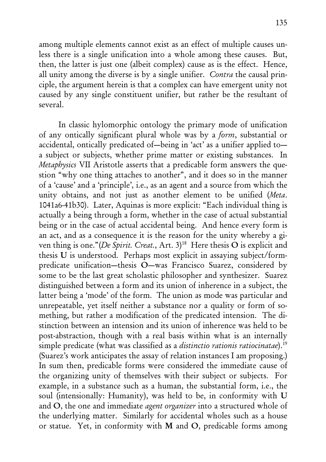among multiple elements cannot exist as an effect of multiple causes unless there is a single unification into a whole among these causes. But, then, the latter is just one (albeit complex) cause as is the effect. Hence, all unity among the diverse is by a single unifier. Contra the causal principle, the argument herein is that a complex can have emergent unity not caused by any single constituent unifier, but rather be the resultant of several.

In classic hylomorphic ontology the primary mode of unification of any ontically significant plural whole was by a form, substantial or accidental, ontically predicated of—being in 'act' as a unifier applied to a subject or subjects, whether prime matter or existing substances. In Metaphysics VII Aristotle asserts that a predicable form answers the question "why one thing attaches to another", and it does so in the manner of a 'cause' and a 'principle', i.e., as an agent and a source from which the unity obtains, and not just as another element to be unified (Meta. 1041a6-41b30). Later, Aquinas is more explicit: "Each individual thing is actually a being through a form, whether in the case of actual substantial being or in the case of actual accidental being. And hence every form is an act, and as a consequence it is the reason for the unity whereby a given thing is one." (De Spirit. Creat., Art. 3)<sup>18</sup> Here thesis O is explicit and thesis U is understood. Perhaps most explicit in assaying subject/formpredicate unification—thesis O—was Francisco Suarez, considered by some to be the last great scholastic philosopher and synthesizer. Suarez distinguished between a form and its union of inherence in a subject, the latter being a 'mode' of the form. The union as mode was particular and unrepeatable, yet itself neither a substance nor a quality or form of something, but rather a modification of the predicated intension. The distinction between an intension and its union of inherence was held to be post-abstraction, though with a real basis within what is an internally simple predicate (what was classified as a *distinctio rationis ratiocinatae*).<sup>19</sup> (Suarez's work anticipates the assay of relation instances I am proposing.) In sum then, predicable forms were considered the immediate cause of the organizing unity of themselves with their subject or subjects. For example, in a substance such as a human, the substantial form, i.e., the soul (intensionally: Humanity), was held to be, in conformity with U and O, the one and immediate agent organizer into a structured whole of the underlying matter. Similarly for accidental wholes such as a house or statue. Yet, in conformity with M and O, predicable forms among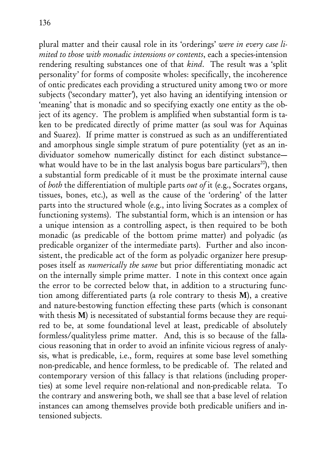plural matter and their causal role in its 'orderings' were in every case limited to those with monadic intensions or contents, each a species-intension rendering resulting substances one of that kind. The result was a 'split personality' for forms of composite wholes: specifically, the incoherence of ontic predicates each providing a structured unity among two or more subjects ('secondary matter'), yet also having an identifying intension or 'meaning' that is monadic and so specifying exactly one entity as the object of its agency. The problem is amplified when substantial form is taken to be predicated directly of prime matter (as soul was for Aquinas and Suarez). If prime matter is construed as such as an undifferentiated and amorphous single simple stratum of pure potentiality (yet as an individuator somehow numerically distinct for each distinct substance what would have to be in the last analysis bogus bare particulars<sup>20</sup>), then a substantial form predicable of it must be the proximate internal cause of both the differentiation of multiple parts out of it (e.g., Socrates organs, tissues, bones, etc.), as well as the cause of the 'ordering' of the latter parts into the structured whole (e.g., into living Socrates as a complex of functioning systems). The substantial form, which is an intension or has a unique intension as a controlling aspect, is then required to be both monadic (as predicable of the bottom prime matter) and polyadic (as predicable organizer of the intermediate parts). Further and also inconsistent, the predicable act of the form as polyadic organizer here presupposes itself as numerically the same but prior differentiating monadic act on the internally simple prime matter. I note in this context once again the error to be corrected below that, in addition to a structuring function among differentiated parts (a role contrary to thesis M), a creative and nature-bestowing function effecting these parts (which is consonant with thesis **M**) is necessitated of substantial forms because they are required to be, at some foundational level at least, predicable of absolutely formless/qualityless prime matter. And, this is so because of the fallacious reasoning that in order to avoid an infinite vicious regress of analysis, what is predicable, i.e., form, requires at some base level something non-predicable, and hence formless, to be predicable of. The related and contemporary version of this fallacy is that relations (including properties) at some level require non-relational and non-predicable relata. To the contrary and answering both, we shall see that a base level of relation instances can among themselves provide both predicable unifiers and intensioned subjects.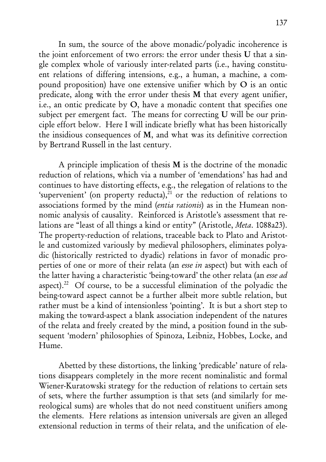In sum, the source of the above monadic/polyadic incoherence is the joint enforcement of two errors: the error under thesis U that a single complex whole of variously inter-related parts (i.e., having constituent relations of differing intensions, e.g., a human, a machine, a compound proposition) have one extensive unifier which by O is an ontic predicate, along with the error under thesis M that every agent unifier, i.e., an ontic predicate by O, have a monadic content that specifies one subject per emergent fact. The means for correcting U will be our principle effort below. Here I will indicate briefly what has been historically the insidious consequences of M, and what was its definitive correction by Bertrand Russell in the last century.

A principle implication of thesis M is the doctrine of the monadic reduction of relations, which via a number of 'emendations' has had and continues to have distorting effects, e.g., the relegation of relations to the 'supervenient' (on property reducta), $21$  or the reduction of relations to associations formed by the mind (entia rationis) as in the Humean nonnomic analysis of causality. Reinforced is Aristotle's assessment that relations are "least of all things a kind or entity" (Aristotle, Meta. 1088a23). The property-reduction of relations, traceable back to Plato and Aristotle and customized variously by medieval philosophers, eliminates polyadic (historically restricted to dyadic) relations in favor of monadic properties of one or more of their relata (an esse in aspect) but with each of the latter having a characteristic 'being-toward' the other relata (an esse ad aspect).<sup>22</sup> Of course, to be a successful elimination of the polyadic the being-toward aspect cannot be a further albeit more subtle relation, but rather must be a kind of intensionless 'pointing'. It is but a short step to making the toward-aspect a blank association independent of the natures of the relata and freely created by the mind, a position found in the subsequent 'modern' philosophies of Spinoza, Leibniz, Hobbes, Locke, and Hume.

Abetted by these distortions, the linking 'predicable' nature of relations disappears completely in the more recent nominalistic and formal Wiener-Kuratowski strategy for the reduction of relations to certain sets of sets, where the further assumption is that sets (and similarly for mereological sums) are wholes that do not need constituent unifiers among the elements. Here relations as intension universals are given an alleged extensional reduction in terms of their relata, and the unification of ele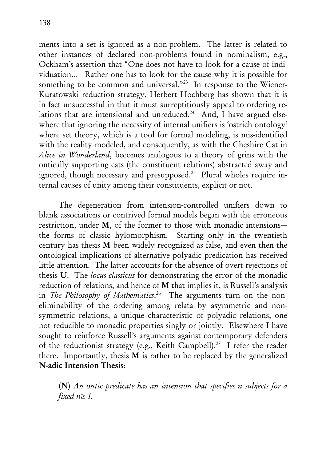ments into a set is ignored as a non-problem. The latter is related to other instances of declared non-problems found in nominalism, e.g., Ockham's assertion that "One does not have to look for a cause of individuation… Rather one has to look for the cause why it is possible for something to be common and universal."<sup>23</sup> In response to the Wiener-Kuratowski reduction strategy, Herbert Hochberg has shown that it is in fact unsuccessful in that it must surreptitiously appeal to ordering relations that are intensional and unreduced.<sup>24</sup> And, I have argued elsewhere that ignoring the necessity of internal unifiers is 'ostrich ontology' where set theory, which is a tool for formal modeling, is mis-identified with the reality modeled, and consequently, as with the Cheshire Cat in Alice in Wonderland, becomes analogous to a theory of grins with the ontically supporting cats (the constituent relations) abstracted away and ignored, though necessary and presupposed.<sup>25</sup> Plural wholes require internal causes of unity among their constituents, explicit or not.

The degeneration from intension-controlled unifiers down to blank associations or contrived formal models began with the erroneous restriction, under M, of the former to those with monadic intensions the forms of classic hylomorphism. Starting only in the twentieth century has thesis M been widely recognized as false, and even then the ontological implications of alternative polyadic predication has received little attention. The latter accounts for the absence of overt rejections of thesis U. The locus classicus for demonstrating the error of the monadic reduction of relations, and hence of M that implies it, is Russell's analysis in *The Philosophy of Mathematics*.<sup>26</sup> The arguments turn on the noneliminability of the ordering among relata by asymmetric and nonsymmetric relations, a unique characteristic of polyadic relations, one not reducible to monadic properties singly or jointly. Elsewhere I have sought to reinforce Russell's arguments against contemporary defenders of the reductionist strategy (e.g., Keith Campbell).<sup>27</sup> I refer the reader there. Importantly, thesis M is rather to be replaced by the generalized N-adic Intension Thesis:

(N) An ontic predicate has an intension that specifies n subjects for a fixed  $n \geq 1$ .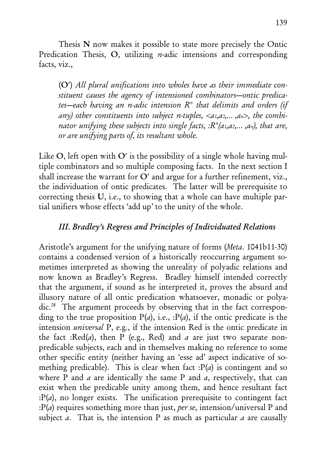Thesis N now makes it possible to state more precisely the Ontic Predication Thesis, O, utilizing *n*-adic intensions and corresponding facts, viz.,

 $(O')$  All plural unifications into wholes have as their immediate constituent causes the agency of intensioned combinators—ontic predicates—each having an n-adic intension  $R^n$  that delimits and orders (if any) other constituents into subject n-tuples,  $\langle a_1, a_2,..., a_n \rangle$ , the combinator unifying these subjects into single facts, :R"(a1,a2,... ,an), that are, or are unifying parts of, its resultant whole.

Like  $O$ , left open with  $O'$  is the possibility of a single whole having multiple combinators and so multiple composing facts. In the next section I shall increase the warrant for  $O'$  and argue for a further refinement, viz., the individuation of ontic predicates. The latter will be prerequisite to correcting thesis U, i.e., to showing that a whole can have multiple partial unifiers whose effects 'add up' to the unity of the whole.

## III. Bradley's Regress and Principles of Individuated Relations

Aristotle's argument for the unifying nature of forms (Meta. 1041b11-30) contains a condensed version of a historically reoccurring argument sometimes interpreted as showing the unreality of polyadic relations and now known as Bradley's Regress. Bradley himself intended correctly that the argument, if sound as he interpreted it, proves the absurd and illusory nature of all ontic predication whatsoever, monadic or polyadic.<sup>28</sup> The argument proceeds by observing that in the fact corresponding to the true proposition  $P(a)$ , i.e., : $P(a)$ , if the ontic predicate is the intension universal P, e.g., if the intension Red is the ontic predicate in the fact : Red(a), then P (e.g., Red) and a are just two separate nonpredicable subjects, each and in themselves making no reference to some other specific entity (neither having an 'esse ad' aspect indicative of something predicable). This is clear when fact  $P(a)$  is contingent and so where P and  $a$  are identically the same P and  $a$ , respectively, that can exist when the predicable unity among them, and hence resultant fact  $: P(a)$ , no longer exists. The unification prerequisite to contingent fact : $P(a)$  requires something more than just, per se, intension/universal P and subject *a*. That is, the intension P as much as particular *a* are causally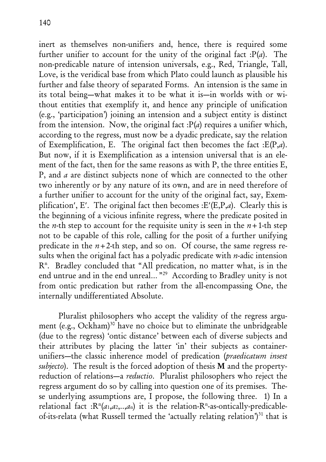inert as themselves non-unifiers and, hence, there is required some further unifier to account for the unity of the original fact  $P(a)$ . The non-predicable nature of intension universals, e.g., Red, Triangle, Tall, Love, is the veridical base from which Plato could launch as plausible his further and false theory of separated Forms. An intension is the same in its total being—what makes it to be what it is—in worlds with or without entities that exemplify it, and hence any principle of unification (e.g., 'participation') joining an intension and a subject entity is distinct from the intension. Now, the original fact  $P(a)$  requires a unifier which, according to the regress, must now be a dyadic predicate, say the relation of Exemplification, E. The original fact then becomes the fact : $E(P,a)$ . But now, if it is Exemplification as a intension universal that is an element of the fact, then for the same reasons as with P, the three entities E, P, and a are distinct subjects none of which are connected to the other two inherently or by any nature of its own, and are in need therefore of a further unifier to account for the unity of the original fact, say, Exemplification', E'. The original fact then becomes :  $E'(E,P,a)$ . Clearly this is the beginning of a vicious infinite regress, where the predicate posited in the *n*-th step to account for the requisite unity is seen in the  $n+1$ -th step not to be capable of this role, calling for the posit of a further unifying predicate in the  $n+2$ -th step, and so on. Of course, the same regress results when the original fact has a polyadic predicate with  $n$ -adic intension R<sup>n</sup>. Bradley concluded that "All predication, no matter what, is in the end untrue and in the end unreal… "29 According to Bradley unity is not from ontic predication but rather from the all-encompassing One, the internally undifferentiated Absolute.

Pluralist philosophers who accept the validity of the regress argument (e.g., Ockham)<sup>30</sup> have no choice but to eliminate the unbridgeable (due to the regress) 'ontic distance' between each of diverse subjects and their attributes by placing the latter 'in' their subjects as containerunifiers—the classic inherence model of predication (praedicatum insest subjecto). The result is the forced adoption of thesis **M** and the propertyreduction of relations—a reductio. Pluralist philosophers who reject the regress argument do so by calling into question one of its premises. These underlying assumptions are, I propose, the following three. 1) In a relational fact : $\mathbb{R}^n(a_1,a_2,..,a_n)$  it is the relation- $\mathbb{R}^n$ -as-ontically-predicableof-its-relata (what Russell termed the 'actually relating relation') $31$  that is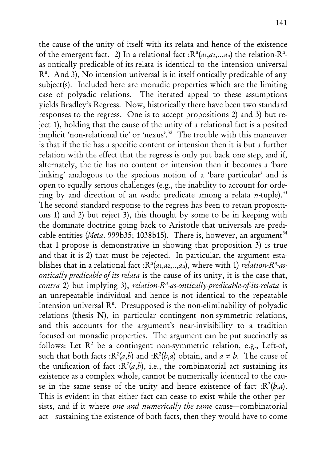the cause of the unity of itself with its relata and hence of the existence of the emergent fact. 2) In a relational fact :R<sup>n</sup>(a1,a2,..,an) the relation-R<sup>n</sup>as-ontically-predicable-of-its-relata is identical to the intension universal R<sup>n</sup>. And 3), No intension universal is in itself ontically predicable of any subject(s). Included here are monadic properties which are the limiting case of polyadic relations. The iterated appeal to these assumptions yields Bradley's Regress. Now, historically there have been two standard responses to the regress. One is to accept propositions 2) and 3) but reject 1), holding that the cause of the unity of a relational fact is a posited implicit 'non-relational tie' or 'nexus'.32 The trouble with this maneuver is that if the tie has a specific content or intension then it is but a further relation with the effect that the regress is only put back one step, and if, alternately, the tie has no content or intension then it becomes a 'bare linking' analogous to the specious notion of a 'bare particular' and is open to equally serious challenges (e.g., the inability to account for ordering by and direction of an *n*-adic predicate among a relata *n*-tuple).<sup>33</sup> The second standard response to the regress has been to retain propositions 1) and 2) but reject 3), this thought by some to be in keeping with the dominate doctrine going back to Aristotle that universals are predicable entities (*Meta*. 999b35; 1038b15). There is, however, an argument<sup>34</sup> that I propose is demonstrative in showing that proposition 3) is true and that it is 2) that must be rejected. In particular, the argument establishes that in a relational fact :R<sup>n</sup>(a1,a2,..,an), where with 1) *relation-R<sup>n</sup>-as*ontically-predicable-of-its-relata is the cause of its unity, it is the case that, contra 2) but implying 3), relation-R<sup>n</sup>-as-ontically-predicable-of-its-relata is an unrepeatable individual and hence is not identical to the repeatable intension universal  $\mathbb{R}^n$ . Presupposed is the non-eliminability of polyadic relations (thesis N), in particular contingent non-symmetric relations, and this accounts for the argument's near-invisibility to a tradition focused on monadic properties. The argument can be put succinctly as follows: Let  $\mathbb{R}^2$  be a contingent non-symmetric relation, e.g., Left-of, such that both facts :R<sup>2</sup>(a,b) and :R<sup>2</sup>(b,a) obtain, and  $a \neq b$ . The cause of the unification of fact : $R^2(a,b)$ , i.e., the combinatorial act sustaining its existence as a complex whole, cannot be numerically identical to the cause in the same sense of the unity and hence existence of fact : $R^2(b,a)$ . This is evident in that either fact can cease to exist while the other persists, and if it where one and numerically the same cause—combinatorial act—sustaining the existence of both facts, then they would have to come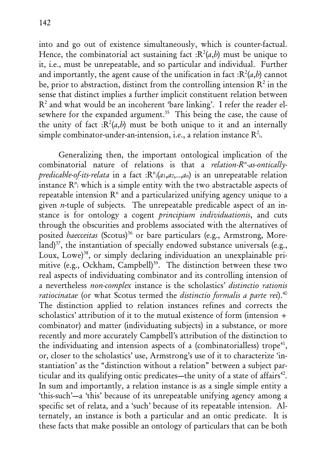into and go out of existence simultaneously, which is counter-factual. Hence, the combinatorial act sustaining fact :R<sup>2</sup>(a,b) must be unique to it, i.e., must be unrepeatable, and so particular and individual. Further and importantly, the agent cause of the unification in fact :R $^{2}(a,b)$  cannot be, prior to abstraction, distinct from the controlling intension  $\mathsf{R}^2$  in the sense that distinct implies a further implicit constituent relation between  $\mathsf{R}^2$  and what would be an incoherent 'bare linking'. I refer the reader elsewhere for the expanded argument.<sup>35</sup> This being the case, the cause of the unity of fact : $R^2(a,b)$  must be both unique to it and an internally simple combinator-under-an-intension, i.e., a relation instance  $\mathsf{R}^2$ i.

Generalizing then, the important ontological implication of the combinatorial nature of relations is that a *relation-R<sup>n</sup>-as-ontically*predicable-of-its-relata in a fact :Rʰi(a1,a2,..,an) is an unrepeatable relation instance  $\mathbf{R}^{\text{n}}$  which is a simple entity with the two abstractable aspects of repeatable intension  $\mathsf{R}^{\rm{n}}$  and a particularized unifying agency unique to a given n-tuple of subjects. The unrepeatable predicable aspect of an instance is for ontology a cogent principium individuationis, and cuts through the obscurities and problems associated with the alternatives of posited haecceitas (Scotus)<sup>36</sup> or bare particulars (e.g., Armstrong, Moreland)<sup>37</sup>, the instantiation of specially endowed substance universals (e.g., Loux, Lowe)<sup>38</sup>, or simply declaring individuation an unexplainable primitive (e.g., Ockham, Campbell)<sup>39</sup>. The distinction between these two real aspects of individuating combinator and its controlling intension of a nevertheless non-complex instance is the scholastics' distinctio rationis ratiocinatae (or what Scotus termed the distinctio formalis a parte rei). $40$ The distinction applied to relation instances refines and corrects the scholastics' attribution of it to the mutual existence of form (intension + combinator) and matter (individuating subjects) in a substance, or more recently and more accurately Campbell's attribution of the distinction to the individuating and intension aspects of a (combinatorialless) trope<sup>41</sup>, or, closer to the scholastics' use, Armstrong's use of it to characterize 'instantiation' as the "distinction without a relation" between a subject particular and its qualifying ontic predicates—the unity of a state of affairs<sup>42</sup>. In sum and importantly, a relation instance is as a single simple entity a 'this-such'—a 'this' because of its unrepeatable unifying agency among a specific set of relata, and a 'such' because of its repeatable intension. Alternately, an instance is both a particular and an ontic predicate. It is these facts that make possible an ontology of particulars that can be both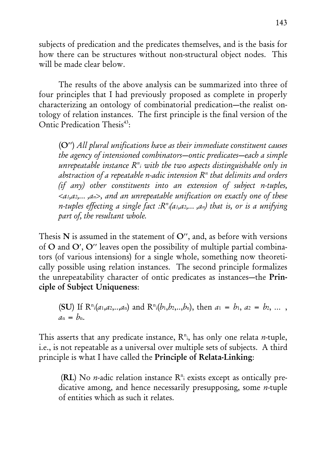subjects of predication and the predicates themselves, and is the basis for how there can be structures without non-structural object nodes. This will be made clear below.

The results of the above analysis can be summarized into three of four principles that I had previously proposed as complete in properly characterizing an ontology of combinatorial predication—the realist ontology of relation instances. The first principle is the final version of the Ontic Predication Thesis<sup>43</sup>:

 $(O'')$  All plural unifications have as their immediate constituent causes the agency of intensioned combinators—ontic predicates—each a simple unrepeatable instance  $R^{\textit{n}}$  with the two aspects distinguishable only in abstraction of a repeatable n-adic intension  $R^n$  that delimits and orders (if any) other constituents into an extension of subject n-tuples,  $\langle a_1, a_2,..., a_n \rangle$ , and an unrepeatable unification on exactly one of these n-tuples effecting a single fact :R"ı(a1,a2,... ,an) that is, or is a unifying part of, the resultant whole.

Thesis  $N$  is assumed in the statement of  $O''$ , and, as before with versions of  $O$  and  $O'$ ,  $O''$  leaves open the possibility of multiple partial combinators (of various intensions) for a single whole, something now theoretically possible using relation instances. The second principle formalizes the unrepeatability character of ontic predicates as instances—the Principle of Subject Uniqueness:

(SU) If 
$$
R^n
$$
: $(a_1, a_2, \ldots, a_n)$  and  $R^n$ : $(b_1, b_2, \ldots, b_n)$ , then  $a_1 = b_1, a_2 = b_2, \ldots$ ,  $a_n = b_n$ .

This asserts that any predicate instance,  $\mathbb{R}^n$ , has only one relata *n*-tuple, i.e., is not repeatable as a universal over multiple sets of subjects. A third principle is what I have called the Principle of Relata-Linking:

(RL) No *n*-adic relation instance  $\mathbb{R}^n$  exists except as ontically predicative among, and hence necessarily presupposing, some  $n$ -tuple of entities which as such it relates.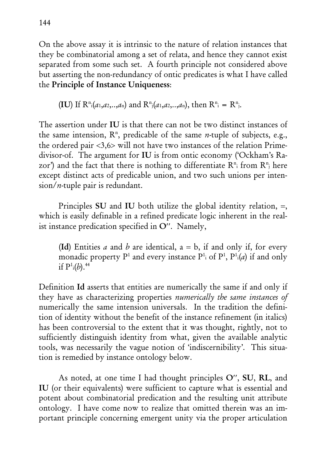On the above assay it is intrinsic to the nature of relation instances that they be combinatorial among a set of relata, and hence they cannot exist separated from some such set. A fourth principle not considered above but asserting the non-redundancy of ontic predicates is what I have called the Principle of Instance Uniqueness:

(IU) If  $R^{n}$ ; (a<sub>1</sub>,a<sub>2</sub>,..,a<sub>n</sub>) and  $R^{n}$ ; (a<sub>1</sub>,a<sub>2</sub>,..,a<sub>n</sub>), then  $R^{n}$ ; =  $R^{n}$ ;

The assertion under IU is that there can not be two distinct instances of the same intension,  $\mathbb{R}^n$ , predicable of the same *n*-tuple of subjects, e.g., the ordered pair  $\langle 3,6 \rangle$  will not have two instances of the relation Primedivisor-of. The argument for IU is from ontic economy ('Ockham's Razor') and the fact that there is nothing to differentiate  $\mathsf{R}^{\rm n_i}$  from  $\mathsf{R}^{\rm n_j}$  here except distinct acts of predicable union, and two such unions per inten $sion/n$ -tuple pair is redundant.

Principles SU and IU both utilize the global identity relation,  $=$ , which is easily definable in a refined predicate logic inherent in the realist instance predication specified in  $O''$ . Namely,

(Id) Entities a and b are identical,  $a = b$ , if and only if, for every monadic property  $\rm P^1$  and every instance  $\rm P^1$  of  $\rm P^1,$   $\rm P^1$   $\!\! (a)$  if and only if  $P^1_{i}(b)$ .<sup>44</sup>

Definition Id asserts that entities are numerically the same if and only if they have as characterizing properties numerically the same instances of numerically the same intension universals. In the tradition the definition of identity without the benefit of the instance refinement (in italics) has been controversial to the extent that it was thought, rightly, not to sufficiently distinguish identity from what, given the available analytic tools, was necessarily the vague notion of 'indiscernibility'. This situation is remedied by instance ontology below.

As noted, at one time I had thought principles  $O''$ ,  $SU$ ,  $RL$ , and IU (or their equivalents) were sufficient to capture what is essential and potent about combinatorial predication and the resulting unit attribute ontology. I have come now to realize that omitted therein was an important principle concerning emergent unity via the proper articulation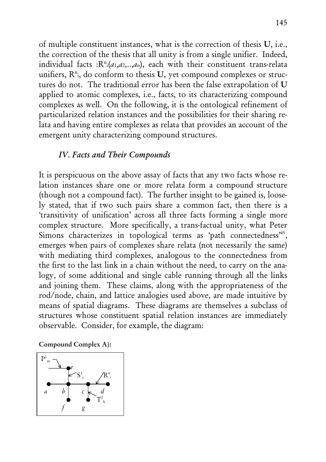of multiple constituent instances, what is the correction of thesis U, i.e., the correction of the thesis that all unity is from a single unifier. Indeed, individual facts :Rʰi(a1,a2,..,an), each with their constituent trans-relata unifiers,  $\mathbb{R}^{\mathbf{n}}$ , do conform to thesis  $\mathbf{U},$  yet compound complexes or structures do not. The traditional error has been the false extrapolation of U applied to atomic complexes, i.e., facts, to its characterizing compound complexes as well. On the following, it is the ontological refinement of particularized relation instances and the possibilities for their sharing relata and having entire complexes as relata that provides an account of the emergent unity characterizing compound structures.

## IV. Facts and Their Compounds

It is perspicuous on the above assay of facts that any two facts whose relation instances share one or more relata form a compound structure (though not a compound fact). The further insight to be gained is, loosely stated, that if two such pairs share a common fact, then there is a 'transitivity of unification' across all three facts forming a single more complex structure. More specifically, a trans-factual unity, what Peter Simons characterizes in topological terms as 'path connectedness<sup>145</sup>, emerges when pairs of complexes share relata (not necessarily the same) with mediating third complexes, analogous to the connectedness from the first to the last link in a chain without the need, to carry on the analogy, of some additional and single cable running through all the links and joining them. These claims, along with the appropriateness of the rod/node, chain, and lattice analogies used above, are made intuitive by means of spatial diagrams. These diagrams are themselves a subclass of structures whose constituent spatial relation instances are immediately observable. Consider, for example, the diagram:

**Compound Complex A):**

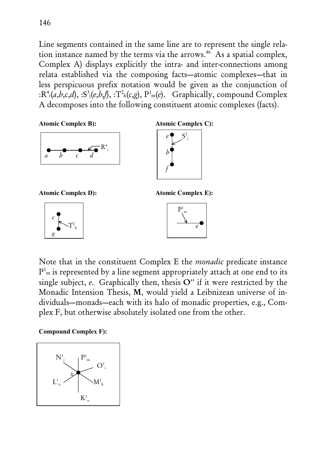Line segments contained in the same line are to represent the single relation instance named by the terms via the arrows.46 As a spatial complex, Complex A) displays explicitly the intra- and inter-connections among relata established via the composing facts—atomic complexes—that in less perspicuous prefix notation would be given as the conjunction of :R<sup>4</sup>i(a,b,c,d), :S<sup>3</sup>j(e,b,f), :T<sup>2</sup>k(c,g), P<sup>1</sup>m(e). Graphically, compound Complex A decomposes into the following constituent atomic complexes (facts).



**Atomic Complex B): Atomic Complex C):**



**Atomic Complex D): Atomic Complex E):**





Note that in the constituent Complex E the monadic predicate instance  $\rm P^1$ m is represented by a line segment appropriately attach at one end to its single subject,  $e$ . Graphically then, thesis  $O''$  if it were restricted by the Monadic Intension Thesis, M, would yield a Leibnizean universe of individuals—monads—each with its halo of monadic properties, e.g., Complex F, but otherwise absolutely isolated one from the other.

### **Compound Complex F):**

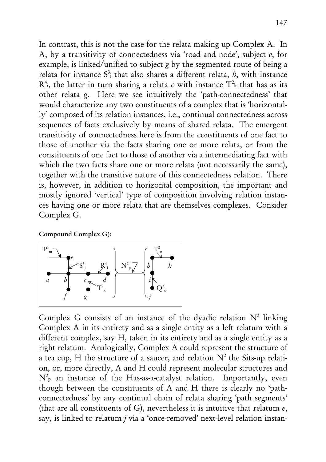In contrast, this is not the case for the relata making up Complex A. In A, by a transitivity of connectedness via 'road and node', subject e, for example, is linked/unified to subject g by the segmented route of being a relata for instance  $S^3$ ; that also shares a different relata,  $b$ , with instance  $\mathbb{R}^4$ i, the latter in turn sharing a relata  $c$  with instance  $\mathbb{T}^2$ k that has as its other relata g. Here we see intuitively the 'path-connectedness' that would characterize any two constituents of a complex that is 'horizontally' composed of its relation instances, i.e., continual connectedness across sequences of facts exclusively by means of shared relata. The emergent transitivity of connectedness here is from the constituents of one fact to those of another via the facts sharing one or more relata, or from the constituents of one fact to those of another via a intermediating fact with which the two facts share one or more relata (not necessarily the same), together with the transitive nature of this connectedness relation. There is, however, in addition to horizontal composition, the important and mostly ignored 'vertical' type of composition involving relation instances having one or more relata that are themselves complexes. Consider Complex G.

#### **Compound Complex G):**



Complex G consists of an instance of the dyadic relation  $N^2$  linking Complex A in its entirety and as a single entity as a left relatum with a different complex, say H, taken in its entirety and as a single entity as a right relatum. Analogically, Complex A could represent the structure of a tea cup, H the structure of a saucer, and relation  $\mathrm{N}^2$  the Sits-up relation, or, more directly, A and H could represent molecular structures and  $\mathrm{N}_{\mathrm{P}}^2$  an instance of the Has-as-a-catalyst relation. Importantly, even though between the constituents of A and H there is clearly no 'pathconnectedness' by any continual chain of relata sharing 'path segments' (that are all constituents of G), nevertheless it is intuitive that relatum e, say, is linked to relatum *j* via a 'once-removed' next-level relation instan-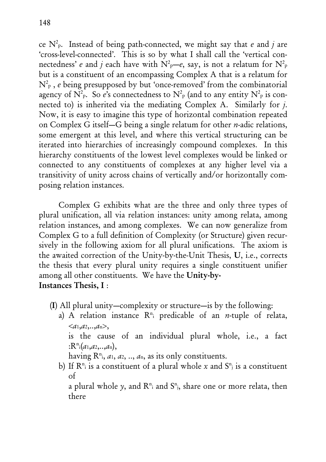ce  $N^2$ <sub>P</sub>. Instead of being path-connected, we might say that *e* and *j* are 'cross-level-connected'. This is so by what I shall call the 'vertical connectedness'  $e$  and  $j$  each have with  $\mathrm{N}^2$ p— $e,$  say, is not a relatum for  $\mathrm{N}^2_\mathrm{p}$ but is a constituent of an encompassing Complex A that is a relatum for  $N_{\rm P}^2$  ,  $e$  being presupposed by but 'once-removed' from the combinatorial agency of  $\mathrm{N^{2}}_{\mathsf{P}}.$  So  $e$ 's connectedness to  $\mathrm{N^{2}}_{\mathsf{P}}$  (and to any entity  $\mathrm{N^{2}}_{\mathsf{P}}$  is connected to) is inherited via the mediating Complex A. Similarly for j. Now, it is easy to imagine this type of horizontal combination repeated on Complex G itself—G being a single relatum for other n-adic relations, some emergent at this level, and where this vertical structuring can be iterated into hierarchies of increasingly compound complexes. In this hierarchy constituents of the lowest level complexes would be linked or connected to any constituents of complexes at any higher level via a transitivity of unity across chains of vertically and/or horizontally composing relation instances.

Complex G exhibits what are the three and only three types of plural unification, all via relation instances: unity among relata, among relation instances, and among complexes. We can now generalize from Complex G to a full definition of Complexity (or Structure) given recursively in the following axiom for all plural unifications. The axiom is the awaited correction of the Unity-by-the-Unit Thesis, U, i.e., corrects the thesis that every plural unity requires a single constituent unifier among all other constituents. We have the Unity-by-Instances Thesis, I :

- (I) All plural unity—complexity or structure—is by the following:
	- a) A relation instance  $\mathbb{R}^n$  predicable of an *n*-tuple of relata,  $\langle a_{1},a_{2},...,a_{n}\rangle,$ is the cause of an individual plural whole, i.e., a fact : $R^n$ <sub>i</sub> $(a_1, a_2, ..., a_n),$ having  $R^{n}$ ; *a*1, *a*2, .., *a*<sub>n</sub>, as its only constituents.
	- b) If  $\mathbb{R}^n$  is a constituent of a plural whole x and  $\mathbb{S}^n$  is a constituent of

a plural whole y, and  $\mathsf{R}^{\text{n}}$  and  $\mathsf{S}^{\text{n}}$ , share one or more relata, then there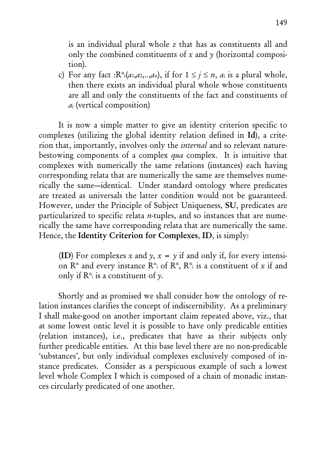is an individual plural whole z that has as constituents all and only the combined constituents of x and  $\gamma$  (horizontal composition).

c) For any fact : $\mathbb{R}^n$  (*a*1,*a2*,..,*a*<sub>n</sub>), if for  $1 \le j \le n$ , *a*<sub>j</sub> is a plural whole, then there exists an individual plural whole whose constituents are all and only the constituents of the fact and constituents of  $a<sub>i</sub>$  (vertical composition)

It is now a simple matter to give an identity criterion specific to complexes (utilizing the global identity relation defined in Id), a criterion that, importantly, involves only the internal and so relevant naturebestowing components of a complex qua complex. It is intuitive that complexes with numerically the same relations (instances) each having corresponding relata that are numerically the same are themselves numerically the same—identical. Under standard ontology where predicates are treated as universals the latter condition would not be guaranteed. However, under the Principle of Subject Uniqueness, SU, predicates are particularized to specific relata *n*-tuples, and so instances that are numerically the same have corresponding relata that are numerically the same. Hence, the Identity Criterion for Complexes, ID, is simply:

**(ID)** For complexes x and  $\gamma$ ,  $x = \gamma$  if and only if, for every intension  $\mathbb{R}^n$  and every instance  $\mathbb{R}^n$  of  $\mathbb{R}^n$ ,  $\mathbb{R}^n$  is a constituent of x if and only if  $\mathbb{R}^n$  is a constituent of y.

Shortly and as promised we shall consider how the ontology of relation instances clarifies the concept of indiscernibility. As a preliminary I shall make-good on another important claim repeated above, viz., that at some lowest ontic level it is possible to have only predicable entities (relation instances), i.e., predicates that have as their subjects only further predicable entities. At this base level there are no non-predicable 'substances', but only individual complexes exclusively composed of instance predicates. Consider as a perspicuous example of such a lowest level whole Complex I which is composed of a chain of monadic instances circularly predicated of one another.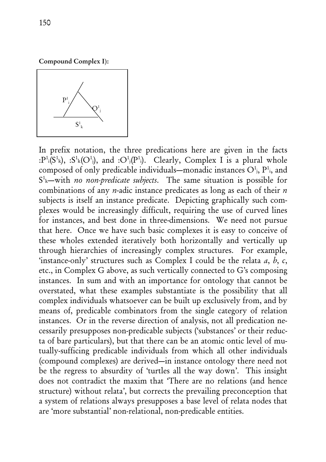#### **Compound Complex I):**



In prefix notation, the three predications here are given in the facts : $P^1$ <sub>i</sub>(S<sup>1</sup><sub>k</sub>), :S<sup>1</sup><sub>k</sub>(O<sup>1</sup><sub>j</sub>), and :O<sup>1</sup><sub>j</sub>(P<sup>1</sup><sub>i</sub>). Clearly, Complex I is a plural whole composed of only predicable individuals—monadic instances  $\mathrm{O}^{\text{1}}$ ,  $\mathrm{P}^{\text{1}}$ , and  $S^1$ <sub>k</sub>—with *no non-predicate subjects*. The same situation is possible for combinations of any *n*-adic instance predicates as long as each of their *n* subjects is itself an instance predicate. Depicting graphically such complexes would be increasingly difficult, requiring the use of curved lines for instances, and best done in three-dimensions. We need not pursue that here. Once we have such basic complexes it is easy to conceive of these wholes extended iteratively both horizontally and vertically up through hierarchies of increasingly complex structures. For example, 'instance-only' structures such as Complex I could be the relata  $a, b, c$ , etc., in Complex G above, as such vertically connected to G's composing instances. In sum and with an importance for ontology that cannot be overstated, what these examples substantiate is the possibility that all complex individuals whatsoever can be built up exclusively from, and by means of, predicable combinators from the single category of relation instances. Or in the reverse direction of analysis, not all predication necessarily presupposes non-predicable subjects ('substances' or their reducta of bare particulars), but that there can be an atomic ontic level of mutually-sufficing predicable individuals from which all other individuals (compound complexes) are derived—in instance ontology there need not be the regress to absurdity of 'turtles all the way down'. This insight does not contradict the maxim that 'There are no relations (and hence structure) without relata', but corrects the prevailing preconception that a system of relations always presupposes a base level of relata nodes that are 'more substantial' non-relational, non-predicable entities.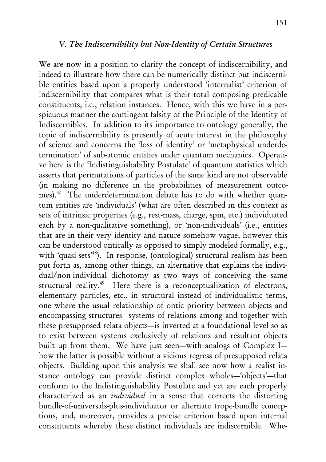We are now in a position to clarify the concept of indiscernibility, and indeed to illustrate how there can be numerically distinct but indiscernible entities based upon a properly understood 'internalist' criterion of indiscernibility that compares what is their total composing predicable constituents, i.e., relation instances. Hence, with this we have in a perspicuous manner the contingent falsity of the Principle of the Identity of Indiscernibles. In addition to its importance to ontology generally, the topic of indiscernibility is presently of acute interest in the philosophy of science and concerns the 'loss of identity' or 'metaphysical underdetermination' of sub-atomic entities under quantum mechanics. Operative here is the 'Indistinguishability Postulate' of quantum statistics which asserts that permutations of particles of the same kind are not observable (in making no difference in the probabilities of measurement outcomes).47 The underdetermination debate has to do with whether quantum entities are 'individuals' (what are often described in this context as sets of intrinsic properties (e.g., rest-mass, charge, spin, etc.) individuated each by a non-qualitative something), or 'non-individuals' (i.e., entities that are in their very identity and nature somehow vague, however this can be understood ontically as opposed to simply modeled formally, e.g., with 'quasi-sets<sup>'48</sup>). In response, (ontological) structural realism has been put forth as, among other things, an alternative that explains the individual/non-individual dichotomy as two ways of conceiving the same structural reality.<sup>49</sup> Here there is a reconceptualization of electrons, elementary particles, etc., in structural instead of individualistic terms, one where the usual relationship of ontic priority between objects and encompassing structures—systems of relations among and together with these presupposed relata objects—is inverted at a foundational level so as to exist between systems exclusively of relations and resultant objects built up from them. We have just seen—with analogs of Complex I how the latter is possible without a vicious regress of presupposed relata objects. Building upon this analysis we shall see now how a realist instance ontology can provide distinct complex wholes—'objects'—that conform to the Indistinguishability Postulate and yet are each properly characterized as an individual in a sense that corrects the distorting bundle-of-universals-plus-individuator or alternate trope-bundle conceptions, and, moreover, provides a precise criterion based upon internal constituents whereby these distinct individuals are indiscernible. Whe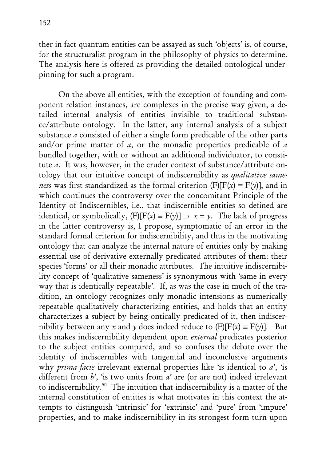ther in fact quantum entities can be assayed as such 'objects' is, of course, for the structuralist program in the philosophy of physics to determine. The analysis here is offered as providing the detailed ontological underpinning for such a program.

 On the above all entities, with the exception of founding and component relation instances, are complexes in the precise way given, a detailed internal analysis of entities invisible to traditional substance/attribute ontology. In the latter, any internal analysis of a subject substance a consisted of either a single form predicable of the other parts and/or prime matter of  $a$ , or the monadic properties predicable of  $a$ bundled together, with or without an additional individuator, to constitute a. It was, however, in the cruder context of substance/attribute ontology that our intuitive concept of indiscernibility as qualitative sameness was first standardized as the formal criterion  $(F)[F(x) = F(y)]$ , and in which continues the controversy over the concomitant Principle of the Identity of Indiscernibles, i.e., that indiscernible entities so defined are identical, or symbolically,  $(F)[F(x) = F(y)] \supset x = y$ . The lack of progress in the latter controversy is, I propose, symptomatic of an error in the standard formal criterion for indiscernibility, and thus in the motivating ontology that can analyze the internal nature of entities only by making essential use of derivative externally predicated attributes of them: their species 'forms' or all their monadic attributes. The intuitive indiscernibility concept of 'qualitative sameness' is synonymous with 'same in every way that is identically repeatable'. If, as was the case in much of the tradition, an ontology recognizes only monadic intensions as numerically repeatable qualitatively characterizing entities, and holds that an entity characterizes a subject by being ontically predicated of it, then indiscernibility between any x and y does indeed reduce to  $(F)[F(x) = F(y)]$ . But this makes indiscernibility dependent upon external predicates posterior to the subject entities compared, and so confuses the debate over the identity of indiscernibles with tangential and inconclusive arguments why *prima facie* irrelevant external properties like 'is identical to  $a$ ', 'is different from  $b'$ , 'is two units from  $a'$  are (or are not) indeed irrelevant to indiscernibility.50 The intuition that indiscernibility is a matter of the internal constitution of entities is what motivates in this context the attempts to distinguish 'intrinsic' for 'extrinsic' and 'pure' from 'impure' properties, and to make indiscernibility in its strongest form turn upon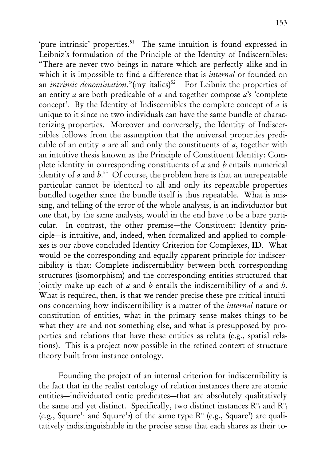'pure intrinsic' properties.<sup>51</sup> The same intuition is found expressed in Leibniz's formulation of the Principle of the Identity of Indiscernibles: "There are never two beings in nature which are perfectly alike and in which it is impossible to find a difference that is *internal* or founded on an *intrinsic denomination*."(my italics)<sup>52</sup> For Leibniz the properties of an entity  $a$  are both predicable of  $a$  and together compose  $a$ 's 'complete concept'. By the Identity of Indiscernibles the complete concept of  $a$  is unique to it since no two individuals can have the same bundle of characterizing properties. Moreover and conversely, the Identity of Indiscernibles follows from the assumption that the universal properties predicable of an entity  $a$  are all and only the constituents of  $a$ , together with an intuitive thesis known as the Principle of Constituent Identity: Complete identity in corresponding constituents of  $a$  and  $b$  entails numerical identity of *a* and  $b^{53}$  Of course, the problem here is that an unrepeatable particular cannot be identical to all and only its repeatable properties bundled together since the bundle itself is thus repeatable. What is missing, and telling of the error of the whole analysis, is an individuator but one that, by the same analysis, would in the end have to be a bare particular. In contrast, the other premise—the Constituent Identity principle—is intuitive, and, indeed, when formalized and applied to complexes is our above concluded Identity Criterion for Complexes, ID. What would be the corresponding and equally apparent principle for indiscernibility is that: Complete indiscernibility between both corresponding structures (isomorphism) and the corresponding entities structured that jointly make up each of a and b entails the indiscernibility of a and b. What is required, then, is that we render precise these pre-critical intuitions concerning how indiscernibility is a matter of the internal nature or constitution of entities, what in the primary sense makes things to be what they are and not something else, and what is presupposed by properties and relations that have these entities as relata (e.g., spatial relations). This is a project now possible in the refined context of structure theory built from instance ontology.

Founding the project of an internal criterion for indiscernibility is the fact that in the realist ontology of relation instances there are atomic entities—individuated ontic predicates—that are absolutely qualitatively the same and yet distinct. Specifically, two distinct instances  $\mathsf{R}^{\scriptscriptstyle{\mathrm{n}}\textsubscript{i}}$  and  $\mathsf{R}^{\scriptscriptstyle{\mathrm{n}}\textsubscript{j}}$ (e.g., Square<sup>1</sup>1 and Square<sup>1</sup>2) of the same type  $R<sup>n</sup>$  (e.g., Square<sup>1</sup>) are qualitatively indistinguishable in the precise sense that each shares as their to-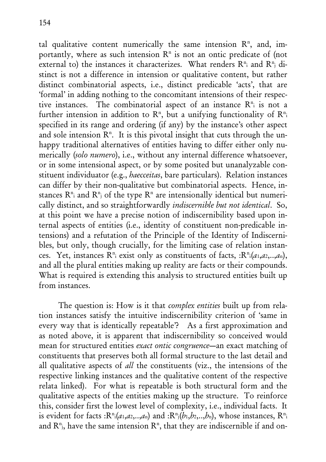tal qualitative content numerically the same intension  $\mathbb{R}^n$ , and, importantly, where as such intension  $\mathbb{R}^{\mathrm{n}}$  is not an ontic predicate of (not external to) the instances it characterizes. What renders  $\mathsf{R}^{\tt n_i}$  and  $\mathsf{R}^{\tt n_j}$  distinct is not a difference in intension or qualitative content, but rather distinct combinatorial aspects, i.e., distinct predicable 'acts', that are 'formal' in adding nothing to the concomitant intensions of their respective instances. The combinatorial aspect of an instance  $\mathbb{R}^{\mathbf{n}_{i}}$  is not a further intension in addition to  $\mathsf{R}^{\tt n}$ , but a unifying functionality of  $\mathsf{R}^{\tt n}$ : specified in its range and ordering (if any) by the instance's other aspect and sole intension  $\mathbb{R}^n$ . It is this pivotal insight that cuts through the unhappy traditional alternatives of entities having to differ either only numerically (solo numero), i.e., without any internal difference whatsoever, or in some intensional aspect, or by some posited but unanalyzable constituent individuator (e.g., haecceitas, bare particulars). Relation instances can differ by their non-qualitative but combinatorial aspects. Hence, instances  $\mathbb{R}^{\mathbf{n}}$  and  $\mathbb{R}^{\mathbf{n}}$  of the type  $\mathbb{R}^{\mathbf{n}}$  are intensionally identical but numerically distinct, and so straightforwardly indiscernible but not identical. So, at this point we have a precise notion of indiscernibility based upon internal aspects of entities (i.e., identity of constituent non-predicable intensions) and a refutation of the Principle of the Identity of Indiscernibles, but only, though crucially, for the limiting case of relation instances. Yet, instances R<sup>n</sup>i exist only as constituents of facts, :R<sup>n</sup>i(a1,a2,..,an), and all the plural entities making up reality are facts or their compounds. What is required is extending this analysis to structured entities built up from instances.

The question is: How is it that *complex entities* built up from relation instances satisfy the intuitive indiscernibility criterion of 'same in every way that is identically repeatable'? As a first approximation and as noted above, it is apparent that indiscernibility so conceived would mean for structured entities exact ontic congruence—an exact matching of constituents that preserves both all formal structure to the last detail and all qualitative aspects of all the constituents (viz., the intensions of the respective linking instances and the qualitative content of the respective relata linked). For what is repeatable is both structural form and the qualitative aspects of the entities making up the structure. To reinforce this, consider first the lowest level of complexity, i.e., individual facts. It is evident for facts :R<sup>n</sup>i(a1,a2,..,an) and :R<sup>n</sup>j(b1,b2,..,bn), whose instances, R<sup>n</sup>i and  $\mathsf{R}^{\rm n}$ , have the same intension  $\mathsf{R}^{\rm n},$  that they are indiscernible if and on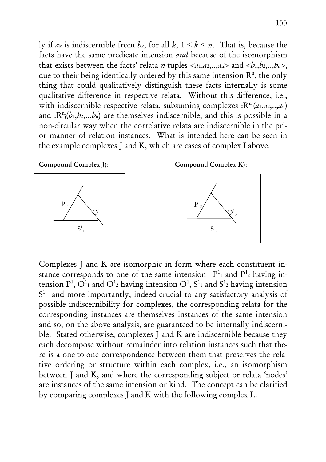ly if  $a_k$  is indiscernible from  $b_k$ , for all  $k, 1 \le k \le n$ . That is, because the facts have the same predicate intension and because of the isomorphism that exists between the facts' relata *n*-tuples  $\langle a_1, a_2, \ldots, a_n \rangle$  and  $\langle b_1, b_2, \ldots, b_n \rangle$ , due to their being identically ordered by this same intension  $\mathsf{R}^{\tt n},$  the only thing that could qualitatively distinguish these facts internally is some qualitative difference in respective relata. Without this difference, i.e., with indiscernible respective relata, subsuming complexes : $R^{n}$ <sup>[</sup> $(a_1, a_2, ..., a_n)$ ] and :R";(b1,b2,..,bn) are themselves indiscernible, and this is possible in a non-circular way when the correlative relata are indiscernible in the prior manner of relation instances. What is intended here can be seen in the example complexes J and K, which are cases of complex I above.



Complexes J and K are isomorphic in form where each constituent instance corresponds to one of the same intension— $P^1$ 1 and  $P^1$ 2 having intension  $P^1$ ,  $O^1$  and  $O^1$  having intension  $O^1$ ,  $S^1$  and  $S^1$  having intension S1 —and more importantly, indeed crucial to any satisfactory analysis of possible indiscernibility for complexes, the corresponding relata for the corresponding instances are themselves instances of the same intension and so, on the above analysis, are guaranteed to be internally indiscernible. Stated otherwise, complexes J and K are indiscernible because they each decompose without remainder into relation instances such that there is a one-to-one correspondence between them that preserves the relative ordering or structure within each complex, i.e., an isomorphism between J and K, and where the corresponding subject or relata 'nodes' are instances of the same intension or kind. The concept can be clarified by comparing complexes J and K with the following complex L.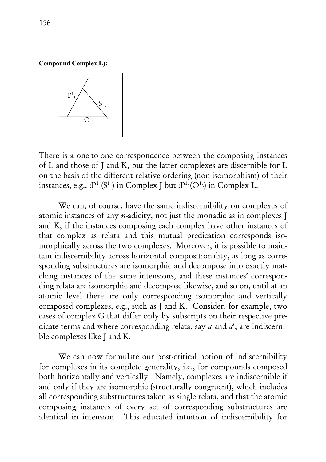#### **Compound Complex L):**



There is a one-to-one correspondence between the composing instances of L and those of J and K, but the latter complexes are discernible for L on the basis of the different relative ordering (non-isomorphism) of their instances, e.g., : $P^1{}_1(S^1{}_1)$  in Complex J but : $P^1{}_3(O^1{}_3)$  in Complex L.

We can, of course, have the same indiscernibility on complexes of atomic instances of any n-adicity, not just the monadic as in complexes J and K, if the instances composing each complex have other instances of that complex as relata and this mutual predication corresponds isomorphically across the two complexes. Moreover, it is possible to maintain indiscernibility across horizontal compositionality, as long as corresponding substructures are isomorphic and decompose into exactly matching instances of the same intensions, and these instances' corresponding relata are isomorphic and decompose likewise, and so on, until at an atomic level there are only corresponding isomorphic and vertically composed complexes, e.g., such as J and K. Consider, for example, two cases of complex G that differ only by subscripts on their respective predicate terms and where corresponding relata, say  $a$  and  $a'$ , are indiscernible complexes like J and K.

We can now formulate our post-critical notion of indiscernibility for complexes in its complete generality, i.e., for compounds composed both horizontally and vertically. Namely, complexes are indiscernible if and only if they are isomorphic (structurally congruent), which includes all corresponding substructures taken as single relata, and that the atomic composing instances of every set of corresponding substructures are identical in intension. This educated intuition of indiscernibility for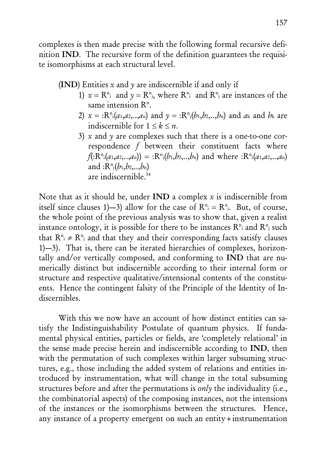complexes is then made precise with the following formal recursive definition IND. The recursive form of the definition guarantees the requisite isomorphisms at each structural level.

(IND) Entities x and y are indiscernible if and only if

- 1)  $x = R^{n_i}$  and  $y = R^{n_j}$ , where  $R^{n_i}$  and  $R^{n_j}$  are instances of the same intension  $\mathbb{R}^n$ .
- 2)  $x =:R^n(a_1,a_2,..,a_n)$  and  $y =:R^n(b_1,b_2,..,b_n)$  and  $a_k$  and  $b_k$  are indiscernible for  $1 \leq k \leq n$ .
- 3) x and  $\gamma$  are complexes such that there is a one-to-one correspondence f between their constituent facts where  $f(:R^n:(a_1,a_2,..,a_n))=:\!R^n;(b_1,b_2,..,b_n)$  and where  $:R^n:(a_1,a_2,..,a_n)$ and : $\mathrm{R}^{\mathrm{n}}$ ; $(b_1,b_2,..,b_n)$ are indiscernible.54

Note that as it should be, under  $IND$  a complex x is indiscernible from itself since clauses 1)—3) allow for the case of  $R^n_i = R^n_i$ . But, of course, the whole point of the previous analysis was to show that, given a realist instance ontology, it is possible for there to be instances  $R^{n_i}$  and  $R^{n_j}$  such that  $R^n$   $\neq$   $R^n$  and that they and their corresponding facts satisfy clauses 1)—3). That is, there can be iterated hierarchies of complexes, horizontally and/or vertically composed, and conforming to IND that are numerically distinct but indiscernible according to their internal form or structure and respective qualitative/intensional contents of the constituents. Hence the contingent falsity of the Principle of the Identity of Indiscernibles.

With this we now have an account of how distinct entities can satisfy the Indistinguishability Postulate of quantum physics. If fundamental physical entities, particles or fields, are 'completely relational' in the sense made precise herein and indiscernible according to IND, then with the permutation of such complexes within larger subsuming structures, e.g., those including the added system of relations and entities introduced by instrumentation, what will change in the total subsuming structures before and after the permutations is only the individuality (i.e., the combinatorial aspects) of the composing instances, not the intensions of the instances or the isomorphisms between the structures. Hence, any instance of a property emergent on such an entity+instrumentation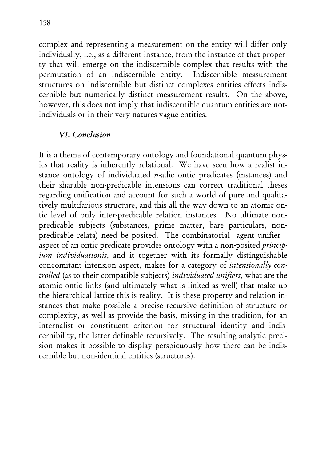complex and representing a measurement on the entity will differ only individually, i.e., as a different instance, from the instance of that property that will emerge on the indiscernible complex that results with the permutation of an indiscernible entity. Indiscernible measurement structures on indiscernible but distinct complexes entities effects indiscernible but numerically distinct measurement results. On the above, however, this does not imply that indiscernible quantum entities are notindividuals or in their very natures vague entities.

# VI. Conclusion

It is a theme of contemporary ontology and foundational quantum physics that reality is inherently relational. We have seen how a realist instance ontology of individuated n-adic ontic predicates (instances) and their sharable non-predicable intensions can correct traditional theses regarding unification and account for such a world of pure and qualitatively multifarious structure, and this all the way down to an atomic ontic level of only inter-predicable relation instances. No ultimate nonpredicable subjects (substances, prime matter, bare particulars, nonpredicable relata) need be posited. The combinatorial—agent unifier aspect of an ontic predicate provides ontology with a non-posited principium *individuationis*, and it together with its formally distinguishable concomitant intension aspect, makes for a category of intensionally controlled (as to their compatible subjects) individuated unifiers, what are the atomic ontic links (and ultimately what is linked as well) that make up the hierarchical lattice this is reality. It is these property and relation instances that make possible a precise recursive definition of structure or complexity, as well as provide the basis, missing in the tradition, for an internalist or constituent criterion for structural identity and indiscernibility, the latter definable recursively. The resulting analytic precision makes it possible to display perspicuously how there can be indiscernible but non-identical entities (structures).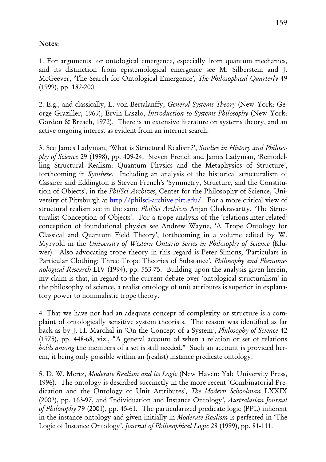### Notes:

1. For arguments for ontological emergence, especially from quantum mechanics, and its distinction from epistemological emergence see M. Silberstein and J. McGeever, 'The Search for Ontological Emergence', The Philosophical Quarterly 49 (1999), pp. 182-200.

2. E.g., and classically, L. von Bertalanffy, General Systems Theory (New York: George Graziller, 1969); Ervin Laszlo, Introduction to Systems Philosophy (New York: Gordon & Breach, 1972). There is an extensive literature on systems theory, and an active ongoing interest as evident from an internet search.

3. See James Ladyman, 'What is Structural Realism?', Studies in History and Philosophy of Science 29 (1998), pp. 409-24. Steven French and James Ladyman, 'Remodelling Structural Realism: Quantum Physics and the Metaphysics of Structure', forthcoming in Synthese. Including an analysis of the historical structuralism of Cassirer and Eddington is Steven French's 'Symmetry, Structure, and the Constitution of Objects', in the PhilSci Archives, Center for the Philosophy of Science, University of Pittsburgh at http://philsci-archive.pitt.edu/. For a more critical view of structural realism see in the same PhilSci Archives Anjan Chakravartty, 'The Structuralist Conception of Objects'. For a trope analysis of the 'relations-inter-related' conception of foundational physics see Andrew Wayne, 'A Trope Ontology for Classical and Quantum Field Theory', forthcoming in a volume edited by W. Myrvold in the University of Western Ontario Series in Philosophy of Science (Kluwer). Also advocating trope theory in this regard is Peter Simons, 'Particulars in Particular Clothing: Three Trope Theories of Substance', *Philosophy and Phenome*nological Research LIV (1994), pp. 553-75. Building upon the analysis given herein, my claim is that, in regard to the current debate over 'ontological structuralism' in the philosophy of science, a realist ontology of unit attributes is superior in explanatory power to nominalistic trope theory.

4. That we have not had an adequate concept of complexity or structure is a complaint of ontologically sensitive system theorists. The reason was identified as far back as by J. H. Marchal in 'On the Concept of a System', Philosophy of Science 42 (1975), pp. 448-68, viz., "A general account of when a relation or set of relations holds among the members of a set is still needed." Such an account is provided herein, it being only possible within an (realist) instance predicate ontology.

5. D. W. Mertz, Moderate Realism and its Logic (New Haven: Yale University Press, 1996). The ontology is described succinctly in the more recent 'Combinatorial Predication and the Ontology of Unit Attributes', The Modern Schoolman LXXIX (2002), pp. 163-97, and 'Individuation and Instance Ontology', Australasian Journal of Philosophy 79 (2001), pp. 45-61. The particularized predicate logic (PPL) inherent in the instance ontology and given initially in Moderate Realism is perfected in 'The Logic of Instance Ontology', Journal of Philosophical Logic 28 (1999), pp. 81-111.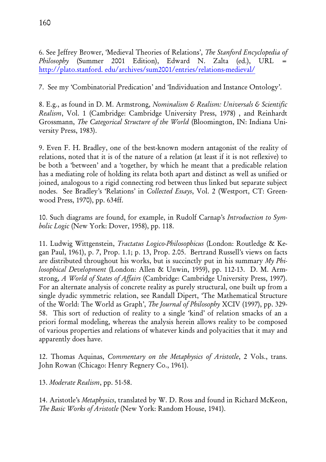6. See Jeffrey Brower, 'Medieval Theories of Relations', The Stanford Encyclopedia of Philosophy (Summer 2001 Edition), Edward N. Zalta (ed.), URL http://plato.stanford. edu/archives/sum2001/entries/relations-medieval/

7. See my 'Combinatorial Predication' and 'Individuation and Instance Ontology'.

8. E.g., as found in D. M. Armstrong, Nominalism & Realism: Universals & Scientific Realism, Vol. 1 (Cambridge: Cambridge University Press, 1978) , and Reinhardt Grossmann, The Categorical Structure of the World (Bloomington, IN: Indiana University Press, 1983).

9. Even F. H. Bradley, one of the best-known modern antagonist of the reality of relations, noted that it is of the nature of a relation (at least if it is not reflexive) to be both a 'between' and a 'together, by which he meant that a predicable relation has a mediating role of holding its relata both apart and distinct as well as unified or joined, analogous to a rigid connecting rod between thus linked but separate subject nodes. See Bradley's 'Relations' in Collected Essays, Vol. 2 (Westport, CT: Greenwood Press, 1970), pp. 634ff.

10. Such diagrams are found, for example, in Rudolf Carnap's Introduction to Symbolic Logic (New York: Dover, 1958), pp. 118.

11. Ludwig Wittgenstein, Tractatus Logico-Philosophicus (London: Routledge & Kegan Paul, 1961), p. 7, Prop. 1.1; p. 13, Prop. 2.05. Bertrand Russell's views on facts are distributed throughout his works, but is succinctly put in his summary  $My Phi$ losophical Development (London: Allen & Unwin, 1959), pp. 112-13. D. M. Armstrong, A World of States of Affairs (Cambridge: Cambridge University Press, 1997). For an alternate analysis of concrete reality as purely structural, one built up from a single dyadic symmetric relation, see Randall Dipert, 'The Mathematical Structure of the World: The World as Graph', The Journal of Philosophy XCIV (1997), pp. 329- 58. This sort of reduction of reality to a single 'kind' of relation smacks of an a priori formal modeling, whereas the analysis herein allows reality to be composed of various properties and relations of whatever kinds and polyacities that it may and apparently does have.

12. Thomas Aquinas, Commentary on the Metaphysics of Aristotle, 2 Vols., trans. John Rowan (Chicago: Henry Regnery Co., 1961).

13. Moderate Realism, pp. 51-58.

14. Aristotle's Metaphysics, translated by W. D. Ross and found in Richard McKeon, The Basic Works of Aristotle (New York: Random House, 1941).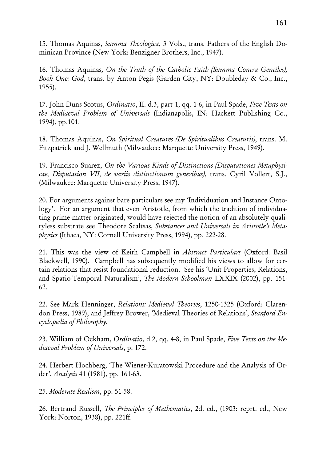15. Thomas Aquinas, Summa Theologica, 3 Vols., trans. Fathers of the English Dominican Province (New York: Benzigner Brothers, Inc., 1947).

16. Thomas Aquinas, On the Truth of the Catholic Faith (Summa Contra Gentiles), Book One: God, trans. by Anton Pegis (Garden City, NY: Doubleday & Co., Inc., 1955).

17. John Duns Scotus, Ordinatio, II. d.3, part 1, qq. 1-6, in Paul Spade, Five Texts on the Mediaeval Problem of Universals (Indianapolis, IN: Hackett Publishing Co., 1994), pp.101.

18. Thomas Aquinas, On Spiritual Creatures (De Spiritualibus Creaturis), trans. M. Fitzpatrick and J. Wellmuth (Milwaukee: Marquette University Press, 1949).

19. Francisco Suarez, On the Various Kinds of Distinctions (Disputationes Metaphysicae, Disputation VII, de variis distinctionum generibus), trans. Cyril Vollert, S.J., (Milwaukee: Marquette University Press, 1947).

20. For arguments against bare particulars see my 'Individuation and Instance Ontology'. For an argument that even Aristotle, from which the tradition of individuating prime matter originated, would have rejected the notion of an absolutely qualityless substrate see Theodore Scaltsas, Substances and Universals in Aristotle's Metaphysics (Ithaca, NY: Cornell University Press, 1994), pp. 222-28.

21. This was the view of Keith Campbell in Abstract Particulars (Oxford: Basil Blackwell, 1990). Campbell has subsequently modified his views to allow for certain relations that resist foundational reduction. See his 'Unit Properties, Relations, and Spatio-Temporal Naturalism', The Modern Schoolman LXXIX (2002), pp. 151- 62.

22. See Mark Henninger, Relations: Medieval Theories, 1250-1325 (Oxford: Clarendon Press, 1989), and Jeffrey Brower, 'Medieval Theories of Relations', Stanford Encyclopedia of Philosophy.

23. William of Ockham, Ordinatio, d.2, qq. 4-8, in Paul Spade, Five Texts on the Mediaeval Problem of Universals, p. 172.

24. Herbert Hochberg, 'The Wiener-Kuratowski Procedure and the Analysis of Order', Analysis 41 (1981), pp. 161-63.

25. Moderate Realism, pp. 51-58.

26. Bertrand Russell, The Principles of Mathematics, 2d. ed., (1903: reprt. ed., New York: Norton, 1938), pp. 221ff.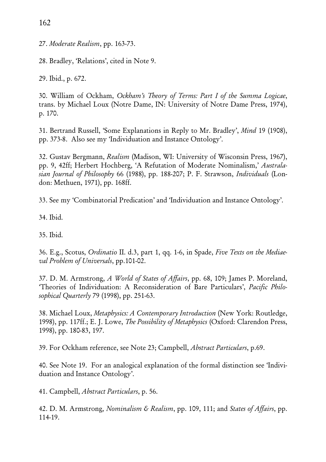27. Moderate Realism, pp. 163-73.

28. Bradley, 'Relations', cited in Note 9.

29. Ibid., p. 672.

30. William of Ockham, Ockham's Theory of Terms: Part I of the Summa Logicae, trans. by Michael Loux (Notre Dame, IN: University of Notre Dame Press, 1974), p. 170.

31. Bertrand Russell, 'Some Explanations in Reply to Mr. Bradley', Mind 19 (1908), pp. 373-8. Also see my 'Individuation and Instance Ontology'.

32. Gustav Bergmann, Realism (Madison, WI: University of Wisconsin Press, 1967), pp. 9, 42ff; Herbert Hochberg, 'A Refutation of Moderate Nominalism,' Australasian Journal of Philosophy 66 (1988), pp. 188-207; P. F. Strawson, Individuals (London: Methuen, 1971), pp. 168ff.

33. See my 'Combinatorial Predication' and 'Individuation and Instance Ontology'.

34. Ibid.

35. Ibid.

36. E.g., Scotus, Ordinatio II. d.3, part 1, qq. 1-6, in Spade, Five Texts on the Mediaeval Problem of Universals, pp.101-02.

37. D. M. Armstrong, A World of States of Affairs, pp. 68, 109; James P. Moreland, 'Theories of Individuation: A Reconsideration of Bare Particulars', Pacific Philosophical Quarterly 79 (1998), pp. 251-63.

38. Michael Loux, Metaphysics: A Contemporary Introduction (New York: Routledge, 1998), pp. 117ff.; E. J. Lowe, The Possibility of Metaphysics (Oxford: Clarendon Press, 1998), pp. 180-83, 197.

39. For Ockham reference, see Note 23; Campbell, Abstract Particulars, p.69.

40. See Note 19. For an analogical explanation of the formal distinction see 'Individuation and Instance Ontology'.

41. Campbell, Abstract Particulars, p. 56.

42. D. M. Armstrong, Nominalism & Realism, pp. 109, 111; and States of Affairs, pp. 114-19.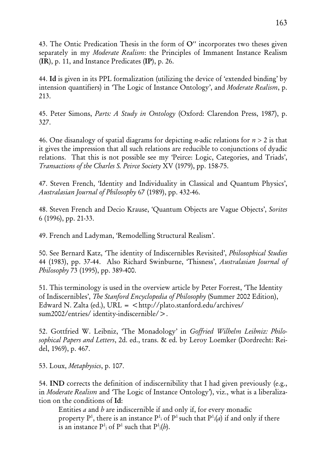43. The Ontic Predication Thesis in the form of  $O$ " incorporates two theses given separately in my *Moderate Realism*: the Principles of Immanent Instance Realism (IR), p. 11, and Instance Predicates (IP), p. 26.

44. Id is given in its PPL formalization (utilizing the device of 'extended binding' by intension quantifiers) in 'The Logic of Instance Ontology', and Moderate Realism, p. 213.

45. Peter Simons, Parts: A Study in Ontology (Oxford: Clarendon Press, 1987), p. 327.

46. One disanalogy of spatial diagrams for depicting *n*-adic relations for  $n > 2$  is that it gives the impression that all such relations are reducible to conjunctions of dyadic relations. That this is not possible see my 'Peirce: Logic, Categories, and Triads', Transactions of the Charles S. Peirce Society XV (1979), pp. 158-75.

47. Steven French, 'Identity and Individuality in Classical and Quantum Physics', Australasian Journal of Philosophy 67 (1989), pp. 432-46.

48. Steven French and Decio Krause, 'Quantum Objects are Vague Objects', Sorites 6 (1996), pp. 21-33.

49. French and Ladyman, 'Remodelling Structural Realism'.

50. See Bernard Katz, 'The identity of Indiscernibles Revisited', Philosophical Studies 44 (1983), pp. 37-44. Also Richard Swinburne, 'Thisness', Australasian Journal of Philosophy 73 (1995), pp. 389-400.

51. This terminology is used in the overview article by Peter Forrest, 'The Identity of Indiscernibles', The Stanford Encyclopedia of Philosophy (Summer 2002 Edition), Edward N. Zalta (ed.), URL =  $\langle \text{http://plato.stanford.edu/archives/}$ sum2002/entries/ identity-indiscernible/>.

52. Gottfried W. Leibniz, 'The Monadology' in Goffried Wilhelm Leibniz: Philosophical Papers and Letters, 2d. ed., trans. & ed. by Leroy Loemker (Dordrecht: Reidel, 1969), p. 467.

53. Loux, Metaphysics, p. 107.

54. IND corrects the definition of indiscernibility that I had given previously (e.g., in Moderate Realism and 'The Logic of Instance Ontology'), viz., what is a liberalization on the conditions of Id:

Entities a and b are indiscernible if and only if, for every monadic property  $\mathrm{P}^1,$  there is an instance  $\mathrm{P}^1$  of  $\mathrm{P}^1$  such that  $\mathrm{P}^1$  (a) if and only if there is an instance  ${\rm P^1}$ ; of  ${\rm P^1}$  such that  ${\rm P^1}$ ;(b).